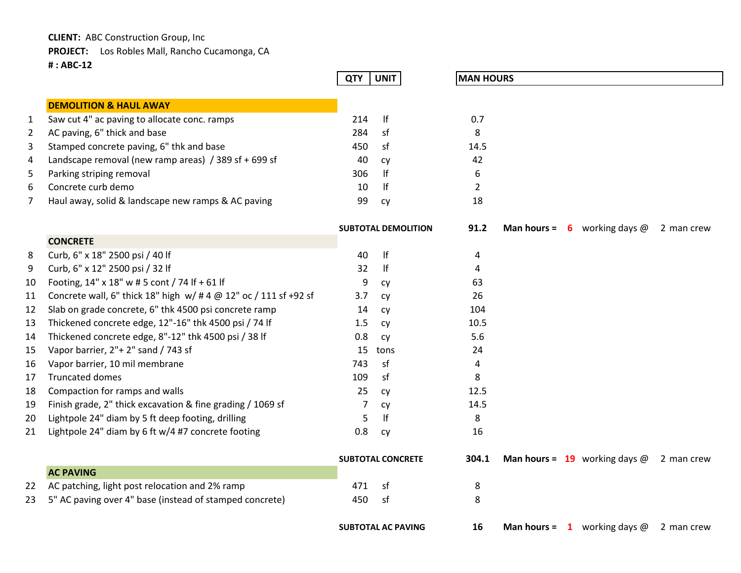**CLIENT:** ABC Construction Group, Inc

**PROJECT:** Los Robles Mall, Rancho Cucamonga, CA

**# : ABC-12**

|                |                                                                  | <b>QTY</b> | <b>UNIT</b>                | <b>MAN HOURS</b> |  |                                        |            |
|----------------|------------------------------------------------------------------|------------|----------------------------|------------------|--|----------------------------------------|------------|
|                |                                                                  |            |                            |                  |  |                                        |            |
|                | <b>DEMOLITION &amp; HAUL AWAY</b>                                |            |                            |                  |  |                                        |            |
| $\mathbf{1}$   | Saw cut 4" ac paving to allocate conc. ramps                     | 214        | If                         | 0.7              |  |                                        |            |
| $\overline{2}$ | AC paving, 6" thick and base                                     | 284        | sf                         | 8                |  |                                        |            |
| 3              | Stamped concrete paving, 6" thk and base                         | 450        | sf                         | 14.5             |  |                                        |            |
| 4              | Landscape removal (new ramp areas) / 389 sf + 699 sf             | 40         | cy                         | 42               |  |                                        |            |
| 5              | Parking striping removal                                         | 306        | lf                         | 6                |  |                                        |            |
| 6              | Concrete curb demo                                               | 10         | lf                         | $\overline{2}$   |  |                                        |            |
| 7              | Haul away, solid & landscape new ramps & AC paving               | 99         | cy                         | 18               |  |                                        |            |
|                |                                                                  |            | <b>SUBTOTAL DEMOLITION</b> | 91.2             |  | <b>Man hours = 6</b> working days $@$  | 2 man crew |
|                | <b>CONCRETE</b>                                                  |            |                            |                  |  |                                        |            |
| 8              | Curb, 6" x 18" 2500 psi / 40 lf                                  | 40         | f                          | 4                |  |                                        |            |
| 9              | Curb, 6" x 12" 2500 psi / 32 lf                                  | 32         | If                         | 4                |  |                                        |            |
| 10             | Footing, 14" x 18" w # 5 cont / 74 If + 61 If                    | 9          | cy                         | 63               |  |                                        |            |
| 11             | Concrete wall, 6" thick 18" high w/ # 4 @ 12" oc / 111 sf +92 sf | 3.7        | Cy                         | 26               |  |                                        |            |
| 12             | Slab on grade concrete, 6" thk 4500 psi concrete ramp            | 14         | cy                         | 104              |  |                                        |            |
| 13             | Thickened concrete edge, 12"-16" thk 4500 psi / 74 lf            | 1.5        | cy                         | 10.5             |  |                                        |            |
| 14             | Thickened concrete edge, 8"-12" thk 4500 psi / 38 lf             | 0.8        | cy                         | 5.6              |  |                                        |            |
| 15             | Vapor barrier, 2"+ 2" sand / 743 sf                              | 15         | tons                       | 24               |  |                                        |            |
| 16             | Vapor barrier, 10 mil membrane                                   | 743        | sf                         | $\overline{4}$   |  |                                        |            |
| 17             | <b>Truncated domes</b>                                           | 109        | sf                         | 8                |  |                                        |            |
| 18             | Compaction for ramps and walls                                   | 25         | cy                         | 12.5             |  |                                        |            |
| 19             | Finish grade, 2" thick excavation & fine grading / 1069 sf       | 7          | cy                         | 14.5             |  |                                        |            |
| 20             | Lightpole 24" diam by 5 ft deep footing, drilling                | 5          | lf                         | 8                |  |                                        |            |
| 21             | Lightpole 24" diam by 6 ft w/4 #7 concrete footing               | 0.8        | cy                         | 16               |  |                                        |            |
|                |                                                                  |            | <b>SUBTOTAL CONCRETE</b>   | 304.1            |  | <b>Man hours = 19</b> working days $@$ | 2 man crew |
|                | <b>AC PAVING</b>                                                 |            |                            |                  |  |                                        |            |
| 22             | AC patching, light post relocation and 2% ramp                   | 471        | sf                         | 8                |  |                                        |            |
| 23             | 5" AC paving over 4" base (instead of stamped concrete)          | 450        | sf                         | 8                |  |                                        |            |
|                |                                                                  |            |                            |                  |  |                                        |            |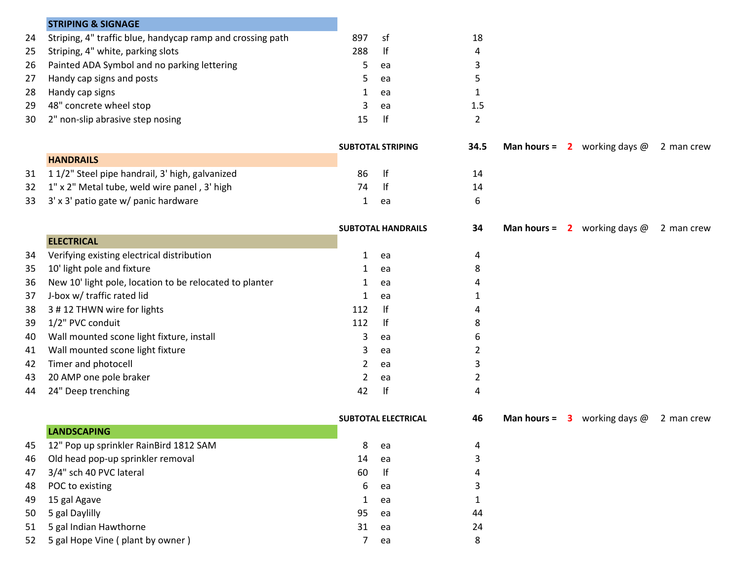|    | <b>STRIPING &amp; SIGNAGE</b>                              |                           |                            |                |  |                                       |            |
|----|------------------------------------------------------------|---------------------------|----------------------------|----------------|--|---------------------------------------|------------|
| 24 | Striping, 4" traffic blue, handycap ramp and crossing path | 897                       | sf                         | 18             |  |                                       |            |
| 25 | Striping, 4" white, parking slots                          | 288                       | lf                         | 4              |  |                                       |            |
| 26 | Painted ADA Symbol and no parking lettering                | 5                         | ea                         | 3              |  |                                       |            |
| 27 | Handy cap signs and posts                                  | 5                         | ea                         | 5              |  |                                       |            |
| 28 | Handy cap signs                                            | 1                         | ea                         | $\mathbf{1}$   |  |                                       |            |
| 29 | 48" concrete wheel stop                                    | 3                         | ea                         | 1.5            |  |                                       |            |
| 30 | 2" non-slip abrasive step nosing                           | 15                        | lf                         | $\overline{2}$ |  |                                       |            |
|    |                                                            |                           | <b>SUBTOTAL STRIPING</b>   | 34.5           |  | <b>Man hours = 2</b> working days $@$ | 2 man crew |
|    | <b>HANDRAILS</b>                                           |                           |                            |                |  |                                       |            |
| 31 | 11/2" Steel pipe handrail, 3' high, galvanized             | 86                        | f                          | 14             |  |                                       |            |
| 32 | 1" x 2" Metal tube, weld wire panel, 3' high               | 74                        | lf                         | 14             |  |                                       |            |
| 33 | 3' x 3' patio gate w/ panic hardware                       | 1                         | ea                         | 6              |  |                                       |            |
|    |                                                            | <b>SUBTOTAL HANDRAILS</b> |                            | 34             |  | <b>Man hours = 2</b> working days $@$ | 2 man crew |
|    | <b>ELECTRICAL</b>                                          |                           |                            |                |  |                                       |            |
| 34 | Verifying existing electrical distribution                 | $\mathbf{1}$              | ea                         | 4              |  |                                       |            |
| 35 | 10' light pole and fixture                                 | 1                         | ea                         | 8              |  |                                       |            |
| 36 | New 10' light pole, location to be relocated to planter    | 1                         | ea                         | 4              |  |                                       |            |
| 37 | J-box w/ traffic rated lid                                 | 1                         | ea                         | 1              |  |                                       |            |
| 38 | 3 # 12 THWN wire for lights                                | 112                       | lf                         | 4              |  |                                       |            |
| 39 | 1/2" PVC conduit                                           | 112                       | f                          | 8              |  |                                       |            |
| 40 | Wall mounted scone light fixture, install                  | 3                         | ea                         | 6              |  |                                       |            |
| 41 | Wall mounted scone light fixture                           | 3                         | ea                         | 2              |  |                                       |            |
| 42 | Timer and photocell                                        | 2                         | ea                         | 3              |  |                                       |            |
| 43 | 20 AMP one pole braker                                     | 2                         | ea                         | 2              |  |                                       |            |
| 44 | 24" Deep trenching                                         | 42                        | f                          | 4              |  |                                       |            |
|    |                                                            |                           | <b>SUBTOTAL ELECTRICAL</b> | 46             |  | <b>Man hours = 3</b> working days $@$ | 2 man crew |
|    | <b>LANDSCAPING</b>                                         |                           |                            |                |  |                                       |            |
| 45 | 12" Pop up sprinkler RainBird 1812 SAM                     | 8                         | ea                         | 4              |  |                                       |            |
| 46 | Old head pop-up sprinkler removal                          | 14                        | ea                         | 3              |  |                                       |            |
| 47 | 3/4" sch 40 PVC lateral                                    | 60                        | lf                         |                |  |                                       |            |
| 48 | POC to existing                                            | 6                         | ea                         | 3              |  |                                       |            |
| 49 | 15 gal Agave                                               | 1                         | ea                         | 1              |  |                                       |            |
| 50 | 5 gal Daylilly                                             | 95                        | ea                         | 44             |  |                                       |            |
| 51 | 5 gal Indian Hawthorne                                     | 31                        | ea                         | 24             |  |                                       |            |
| 52 | 5 gal Hope Vine (plant by owner)                           | 7                         | ea                         | 8              |  |                                       |            |